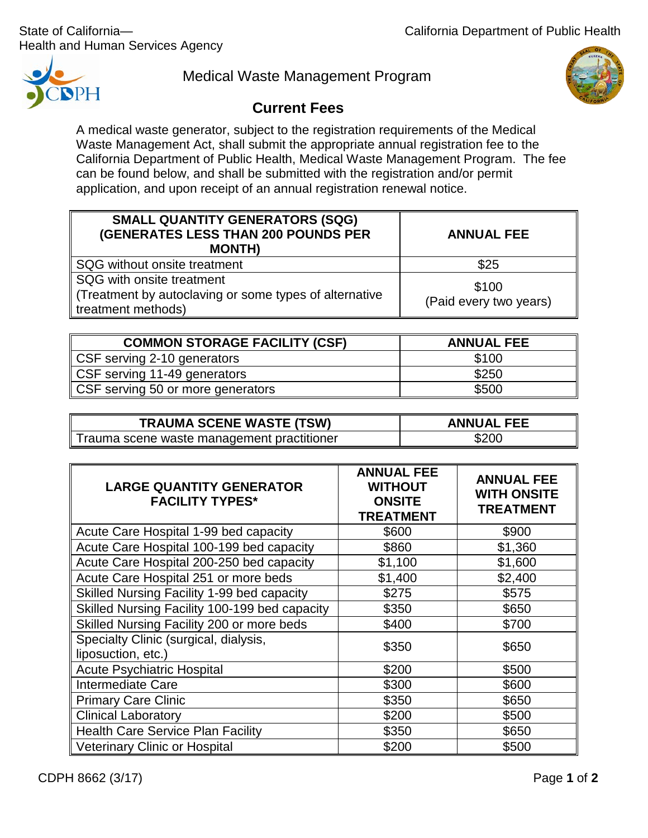Health and Human Services Agency



Medical Waste Management Program



## **Current Fees**

A medical waste generator, subject to the registration requirements of the Medical Waste Management Act, shall submit the appropriate annual registration fee to the California Department of Public Health, Medical Waste Management Program. The fee can be found below, and shall be submitted with the registration and/or permit application, and upon receipt of an annual registration renewal notice.

| <b>SMALL QUANTITY GENERATORS (SQG)</b><br><b>(GENERATES LESS THAN 200 POUNDS PER</b><br><b>MONTH)</b>     | <b>ANNUAL FEE</b>               |
|-----------------------------------------------------------------------------------------------------------|---------------------------------|
| SQG without onsite treatment                                                                              | \$25                            |
| SQG with onsite treatment<br>(Treatment by autoclaving or some types of alternative<br>treatment methods) | \$100<br>(Paid every two years) |

| <b>COMMON STORAGE FACILITY (CSF)</b> | <b>ANNUAL FEE</b> |
|--------------------------------------|-------------------|
| CSF serving 2-10 generators          | \$100             |
| CSF serving 11-49 generators         | \$250             |
| CSF serving 50 or more generators    | \$500             |

| <b>TRAUMA SCENE WASTE (TSW)</b>            | <b>ANNUAL FEE</b> |
|--------------------------------------------|-------------------|
| Trauma scene waste management practitioner | \$200             |

| <b>LARGE QUANTITY GENERATOR</b><br><b>FACILITY TYPES*</b>   | <b>ANNUAL FEE</b><br><b>WITHOUT</b><br><b>ONSITE</b><br><b>TREATMENT</b> | <b>ANNUAL FEE</b><br><b>WITH ONSITE</b><br><b>TREATMENT</b> |
|-------------------------------------------------------------|--------------------------------------------------------------------------|-------------------------------------------------------------|
| Acute Care Hospital 1-99 bed capacity                       | \$600                                                                    | \$900                                                       |
| Acute Care Hospital 100-199 bed capacity                    | \$860                                                                    | \$1,360                                                     |
| Acute Care Hospital 200-250 bed capacity                    | \$1,100                                                                  | \$1,600                                                     |
| Acute Care Hospital 251 or more beds                        | \$1,400                                                                  | \$2,400                                                     |
| Skilled Nursing Facility 1-99 bed capacity                  | \$275                                                                    | \$575                                                       |
| Skilled Nursing Facility 100-199 bed capacity               | \$350                                                                    | \$650                                                       |
| Skilled Nursing Facility 200 or more beds                   | \$400                                                                    | \$700                                                       |
| Specialty Clinic (surgical, dialysis,<br>liposuction, etc.) | \$350                                                                    | \$650                                                       |
| <b>Acute Psychiatric Hospital</b>                           | \$200                                                                    | \$500                                                       |
| <b>Intermediate Care</b>                                    | \$300                                                                    | \$600                                                       |
| <b>Primary Care Clinic</b>                                  | \$350                                                                    | \$650                                                       |
| <b>Clinical Laboratory</b>                                  | \$200                                                                    | \$500                                                       |
| <b>Health Care Service Plan Facility</b>                    | \$350                                                                    | \$650                                                       |
| <b>Veterinary Clinic or Hospital</b>                        | \$200                                                                    | \$500                                                       |